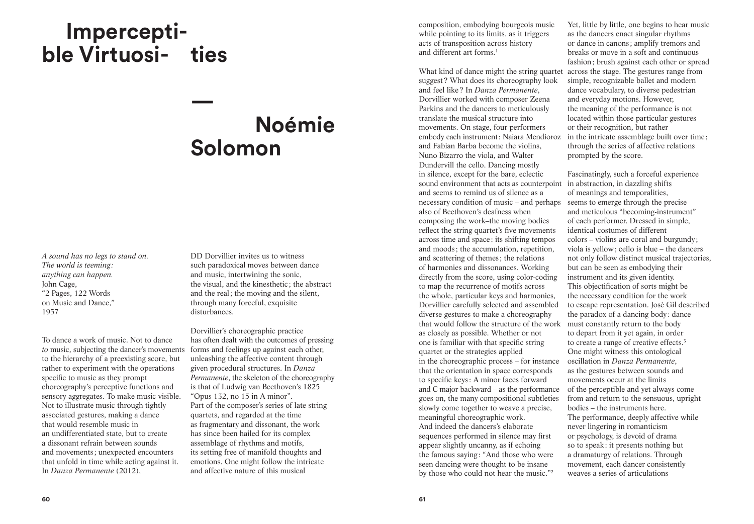## **Imperceptible Virtuosi- ties**

## **Noémie Solomon**

**—**

*A sound has no legs to stand on. The world is teeming : anything can happen.* John Cage, "2 Pages, 122 Words on Music and Dance," 1957

To dance a work of music. Not to dance *to* music, subjecting the dancer's movements to the hierarchy of a preexisting score, but rather to experiment with the operations specific to music as they prompt choreography's perceptive functions and sensory aggregates. To make music visible. Not to illustrate music through tightly associated gestures, making a dance that would resemble music in an undifferentiated state, but to create a dissonant refrain between sounds and movements ; unexpected encounters that unfold in time while acting against it. In *Danza Permanente* (2012),

DD Dorvillier invites us to witness such paradoxical moves between dance and music, intertwining the sonic, the visual, and the kinesthetic ; the abstract and the real; the moving and the silent, through many forceful, exquisite disturbances.

Dorvillier's choreographic practice has often dealt with the outcomes of pressing forms and feelings up against each other, unleashing the affective content through given procedural structures. In *Danza Permanente*, the skeleton of the choreography is that of Ludwig van Beethoven's 1825 "Opus 132, no 15 in A minor". Part of the composer's series of late string quartets, and regarded at the time as fragmentary and dissonant, the work has since been hailed for its complex assemblage of rhythms and motifs, its setting free of manifold thoughts and emotions. One might follow the intricate and affective nature of this musical

composition, embodying bourgeois music while pointing to its limits, as it triggers acts of transposition across history and different art forms.<sup>1</sup>

What kind of dance might the string quartet across the stage. The gestures range from suggest? What does its choreography look and feel like? In *Danza Permanente*, Dorvillier worked with composer Zeena Parkins and the dancers to meticulously translate the musical structure into movements. On stage, four performers embody each instrument: Naiara Mendioroz in the intricate assemblage built over time ; and Fabian Barba become the violins, Nuno Bizarro the viola, and Walter Dundervill the cello. Dancing mostly in silence, except for the bare, eclectic sound environment that acts as counterpoint in abstraction, in dazzling shifts and seems to remind us of silence as a necessary condition of music – and perhaps also of Beethoven's deafness when composing the work–the moving bodies reflect the string quartet's five movements across time and space : its shifting tempos and moods ; the accumulation, repetition, and scattering of themes ; the relations of harmonies and dissonances. Working directly from the score, using color-coding to map the recurrence of motifs across the whole, particular keys and harmonies, Dorvillier carefully selected and assembled diverse gestures to make a choreography that would follow the structure of the work as closely as possible. Whether or not one is familiar with that specific string quartet or the strategies applied in the choreographic process – for instance that the orientation in space corresponds to specific keys : A minor faces forward and C major backward – as the performance goes on, the many compositional subtleties slowly come together to weave a precise, meaningful choreographic work. And indeed the dancers's elaborate sequences performed in silence may first appear slightly uncanny, as if echoing the famous saying: "And those who were seen dancing were thought to be insane by those who could not hear the music."2

Yet, little by little, one begins to hear music as the dancers enact singular rhythms or dance in canons ; amplify tremors and breaks or move in a soft and continuous fashion; brush against each other or spread simple, recognizable ballet and modern dance vocabulary, to diverse pedestrian and everyday motions. However, the meaning of the performance is not located within those particular gestures or their recognition, but rather through the series of affective relations prompted by the score.

Fascinatingly, such a forceful experience of meanings and temporalities, seems to emerge through the precise and meticulous "becoming-instrument" of each performer. Dressed in simple, identical costumes of different colors – violins are coral and burgundy ; viola is yellow; cello is blue – the dancers not only follow distinct musical trajectories, but can be seen as embodying their instrument and its given identity. This objectification of sorts might be the necessary condition for the work to escape representation. José Gil described the paradox of a dancing body : dance must constantly return to the body to depart from it yet again, in order to create a range of creative effects.<sup>3</sup> One might witness this ontological oscillation in *Danza Permanente*, as the gestures between sounds and movements occur at the limits of the perceptible and yet always come from and return to the sensuous, upright bodies – the instruments here. The performance, deeply affective while never lingering in romanticism or psychology, is devoid of drama so to speak: it presents nothing but a dramaturgy of relations. Through movement, each dancer consistently weaves a series of articulations